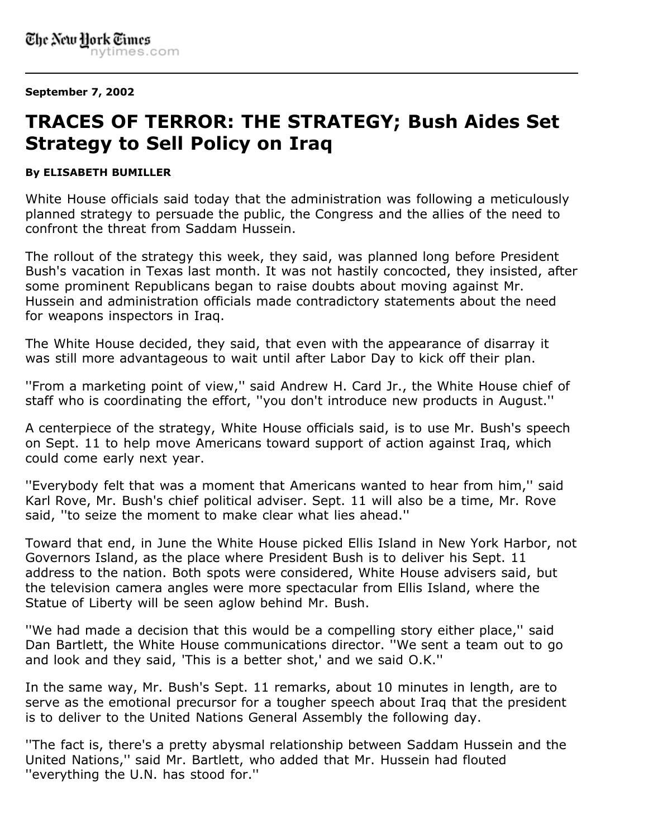## **September 7, 2002**

## **TRACES OF TERROR: THE STRATEGY; Bush Aides Set Strategy to Sell Policy on Iraq**

## **By ELISABETH BUMILLER**

White House officials said today that the administration was following a meticulously planned strategy to persuade the public, the Congress and the allies of the need to confront the threat from Saddam Hussein.

The rollout of the strategy this week, they said, was planned long before President Bush's vacation in Texas last month. It was not hastily concocted, they insisted, after some prominent Republicans began to raise doubts about moving against Mr. Hussein and administration officials made contradictory statements about the need for weapons inspectors in Iraq.

The White House decided, they said, that even with the appearance of disarray it was still more advantageous to wait until after Labor Day to kick off their plan.

''From a marketing point of view,'' said Andrew H. Card Jr., the White House chief of staff who is coordinating the effort, ''you don't introduce new products in August.''

A centerpiece of the strategy, White House officials said, is to use Mr. Bush's speech on Sept. 11 to help move Americans toward support of action against Iraq, which could come early next year.

''Everybody felt that was a moment that Americans wanted to hear from him,'' said Karl Rove, Mr. Bush's chief political adviser. Sept. 11 will also be a time, Mr. Rove said, ''to seize the moment to make clear what lies ahead.''

Toward that end, in June the White House picked Ellis Island in New York Harbor, not Governors Island, as the place where President Bush is to deliver his Sept. 11 address to the nation. Both spots were considered, White House advisers said, but the television camera angles were more spectacular from Ellis Island, where the Statue of Liberty will be seen aglow behind Mr. Bush.

''We had made a decision that this would be a compelling story either place,'' said Dan Bartlett, the White House communications director. ''We sent a team out to go and look and they said, 'This is a better shot,' and we said O.K.''

In the same way, Mr. Bush's Sept. 11 remarks, about 10 minutes in length, are to serve as the emotional precursor for a tougher speech about Iraq that the president is to deliver to the United Nations General Assembly the following day.

''The fact is, there's a pretty abysmal relationship between Saddam Hussein and the United Nations,'' said Mr. Bartlett, who added that Mr. Hussein had flouted ''everything the U.N. has stood for.''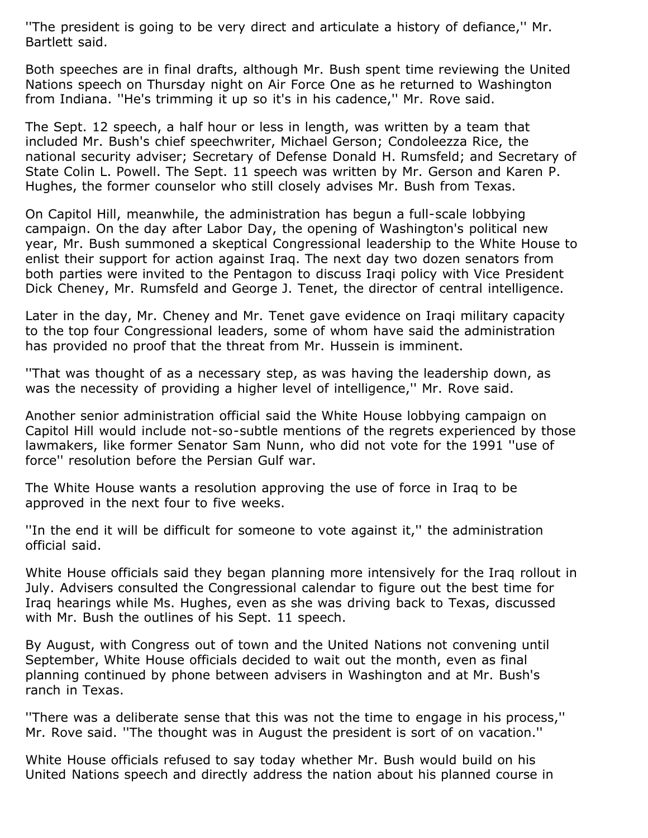''The president is going to be very direct and articulate a history of defiance,'' Mr. Bartlett said.

Both speeches are in final drafts, although Mr. Bush spent time reviewing the United Nations speech on Thursday night on Air Force One as he returned to Washington from Indiana. ''He's trimming it up so it's in his cadence,'' Mr. Rove said.

The Sept. 12 speech, a half hour or less in length, was written by a team that included Mr. Bush's chief speechwriter, Michael Gerson; Condoleezza Rice, the national security adviser; Secretary of Defense Donald H. Rumsfeld; and Secretary of State Colin L. Powell. The Sept. 11 speech was written by Mr. Gerson and Karen P. Hughes, the former counselor who still closely advises Mr. Bush from Texas.

On Capitol Hill, meanwhile, the administration has begun a full-scale lobbying campaign. On the day after Labor Day, the opening of Washington's political new year, Mr. Bush summoned a skeptical Congressional leadership to the White House to enlist their support for action against Iraq. The next day two dozen senators from both parties were invited to the Pentagon to discuss Iraqi policy with Vice President Dick Cheney, Mr. Rumsfeld and George J. Tenet, the director of central intelligence.

Later in the day, Mr. Cheney and Mr. Tenet gave evidence on Iraqi military capacity to the top four Congressional leaders, some of whom have said the administration has provided no proof that the threat from Mr. Hussein is imminent.

''That was thought of as a necessary step, as was having the leadership down, as was the necessity of providing a higher level of intelligence,'' Mr. Rove said.

Another senior administration official said the White House lobbying campaign on Capitol Hill would include not-so-subtle mentions of the regrets experienced by those lawmakers, like former Senator Sam Nunn, who did not vote for the 1991 ''use of force'' resolution before the Persian Gulf war.

The White House wants a resolution approving the use of force in Iraq to be approved in the next four to five weeks.

''In the end it will be difficult for someone to vote against it,'' the administration official said.

White House officials said they began planning more intensively for the Iraq rollout in July. Advisers consulted the Congressional calendar to figure out the best time for Iraq hearings while Ms. Hughes, even as she was driving back to Texas, discussed with Mr. Bush the outlines of his Sept. 11 speech.

By August, with Congress out of town and the United Nations not convening until September, White House officials decided to wait out the month, even as final planning continued by phone between advisers in Washington and at Mr. Bush's ranch in Texas.

''There was a deliberate sense that this was not the time to engage in his process,'' Mr. Rove said. ''The thought was in August the president is sort of on vacation.''

White House officials refused to say today whether Mr. Bush would build on his United Nations speech and directly address the nation about his planned course in